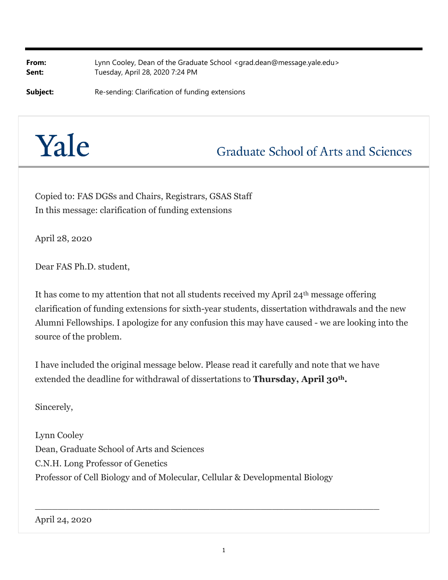**From:** Lynn Cooley, Dean of the Graduate School <grad.dean@message.yale.edu> **Sent:** Tuesday, April 28, 2020 7:24 PM

**Subject:** Re-sending: Clarification of funding extensions

## Yale

## **Graduate School of Arts and Sciences**

Copied to: FAS DGSs and Chairs, Registrars, GSAS Staff In this message: clarification of funding extensions

April 28, 2020

Dear FAS Ph.D. student,

It has come to my attention that not all students received my April  $24<sup>th</sup>$  message offering clarification of funding extensions for sixth-year students, dissertation withdrawals and the new Alumni Fellowships. I apologize for any confusion this may have caused - we are looking into the source of the problem.

I have included the original message below. Please read it carefully and note that we have extended the deadline for withdrawal of dissertations to **Thursday**, April 30<sup>th</sup>.

Sincerely,

Lynn Cooley Dean, Graduate School of Arts and Sciences C.N.H. Long Professor of Genetics Professor of Cell Biology and of Molecular, Cellular & Developmental Biology

April 24, 2020

\_\_\_\_\_\_\_\_\_\_\_\_\_\_\_\_\_\_\_\_\_\_\_\_\_\_\_\_\_\_\_\_\_\_\_\_\_\_\_\_\_\_\_\_\_\_\_\_\_\_\_\_\_\_\_\_\_\_\_\_\_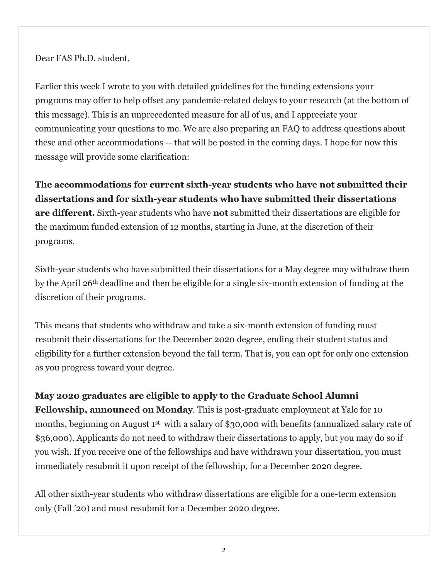Dear FAS Ph.D. student,

Earlier this week I wrote to you with detailed guidelines for the funding extensions your programs may offer to help offset any pandemic-related delays to your research (at the bottom of this message). This is an unprecedented measure for all of us, and I appreciate your communicating your questions to me. We are also preparing an FAQ to address questions about these and other accommodations -- that will be posted in the coming days. I hope for now this message will provide some clarification:

**The accommodations for current sixth-year students who have not submitted their dissertations and for sixth-year students who have submitted their dissertations are different.** Sixth-year students who have **not** submitted their dissertations are eligible for the maximum funded extension of 12 months, starting in June, at the discretion of their programs.

Sixth-year students who have submitted their dissertations for a May degree may withdraw them by the April 26th deadline and then be eligible for a single six-month extension of funding at the discretion of their programs.

This means that students who withdraw and take a six-month extension of funding must resubmit their dissertations for the December 2020 degree, ending their student status and eligibility for a further extension beyond the fall term. That is, you can opt for only one extension as you progress toward your degree.

**May 2020 graduates are eligible to apply to the Graduate School Alumni** 

**Fellowship, announced on Monday**. This is post-graduate employment at Yale for 10 months, beginning on August 1<sup>st</sup> with a salary of \$30,000 with benefits (annualized salary rate of \$36,000). Applicants do not need to withdraw their dissertations to apply, but you may do so if you wish. If you receive one of the fellowships and have withdrawn your dissertation, you must immediately resubmit it upon receipt of the fellowship, for a December 2020 degree.

All other sixth-year students who withdraw dissertations are eligible for a one-term extension only (Fall '20) and must resubmit for a December 2020 degree.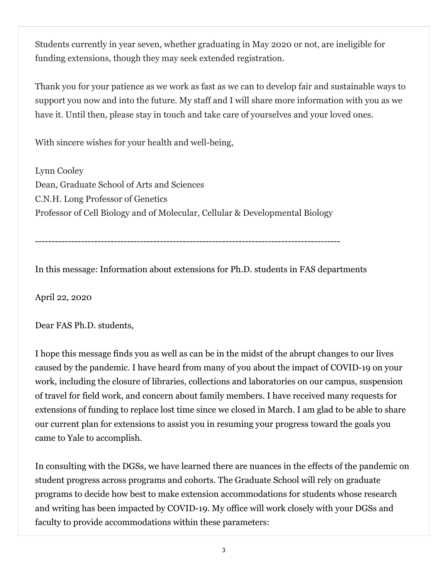Students currently in year seven, whether graduating in May 2020 or not, are ineligible for funding extensions, though they may seek extended registration.

Thank you for your patience as we work as fast as we can to develop fair and sustainable ways to support you now and into the future. My staff and I will share more information with you as we have it. Until then, please stay in touch and take care of yourselves and your loved ones.

With sincere wishes for your health and well-being,

Lynn Cooley Dean, Graduate School of Arts and Sciences C.N.H. Long Professor of Genetics Professor of Cell Biology and of Molecular, Cellular & Developmental Biology

---------------------------------------------------------------------------------------------

In this message: Information about extensions for Ph.D. students in FAS departments

April 22, 2020

Dear FAS Ph.D. students,

I hope this message finds you as well as can be in the midst of the abrupt changes to our lives caused by the pandemic. I have heard from many of you about the impact of COVID-19 on your work, including the closure of libraries, collections and laboratories on our campus, suspension of travel for field work, and concern about family members. I have received many requests for extensions of funding to replace lost time since we closed in March. I am glad to be able to share our current plan for extensions to assist you in resuming your progress toward the goals you came to Yale to accomplish.

In consulting with the DGSs, we have learned there are nuances in the effects of the pandemic on student progress across programs and cohorts. The Graduate School will rely on graduate programs to decide how best to make extension accommodations for students whose research and writing has been impacted by COVID-19. My office will work closely with your DGSs and faculty to provide accommodations within these parameters: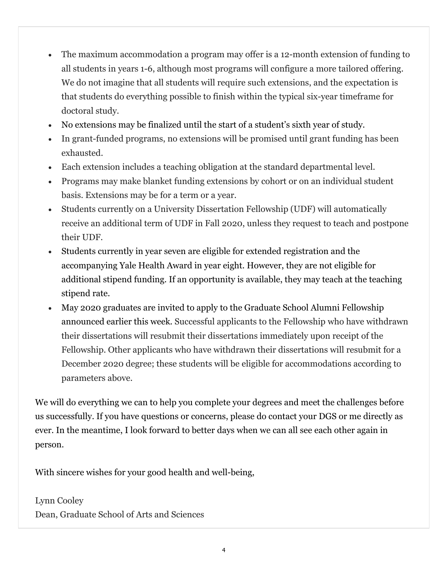- The maximum accommodation a program may offer is a 12-month extension of funding to all students in years 1-6, although most programs will configure a more tailored offering. We do not imagine that all students will require such extensions, and the expectation is that students do everything possible to finish within the typical six-year timeframe for doctoral study.
- No extensions may be finalized until the start of a student's sixth year of study.
- In grant-funded programs, no extensions will be promised until grant funding has been exhausted.
- Each extension includes a teaching obligation at the standard departmental level.
- Programs may make blanket funding extensions by cohort or on an individual student basis. Extensions may be for a term or a year.
- Students currently on a University Dissertation Fellowship (UDF) will automatically receive an additional term of UDF in Fall 2020, unless they request to teach and postpone their UDF.
- Students currently in year seven are eligible for extended registration and the accompanying Yale Health Award in year eight. However, they are not eligible for additional stipend funding. If an opportunity is available, they may teach at the teaching stipend rate.
- May 2020 graduates are invited to apply to the Graduate School Alumni Fellowship announced earlier this week. Successful applicants to the Fellowship who have withdrawn their dissertations will resubmit their dissertations immediately upon receipt of the Fellowship. Other applicants who have withdrawn their dissertations will resubmit for a December 2020 degree; these students will be eligible for accommodations according to parameters above.

We will do everything we can to help you complete your degrees and meet the challenges before us successfully. If you have questions or concerns, please do contact your DGS or me directly as ever. In the meantime, I look forward to better days when we can all see each other again in person.

With sincere wishes for your good health and well-being,

Lynn Cooley Dean, Graduate School of Arts and Sciences